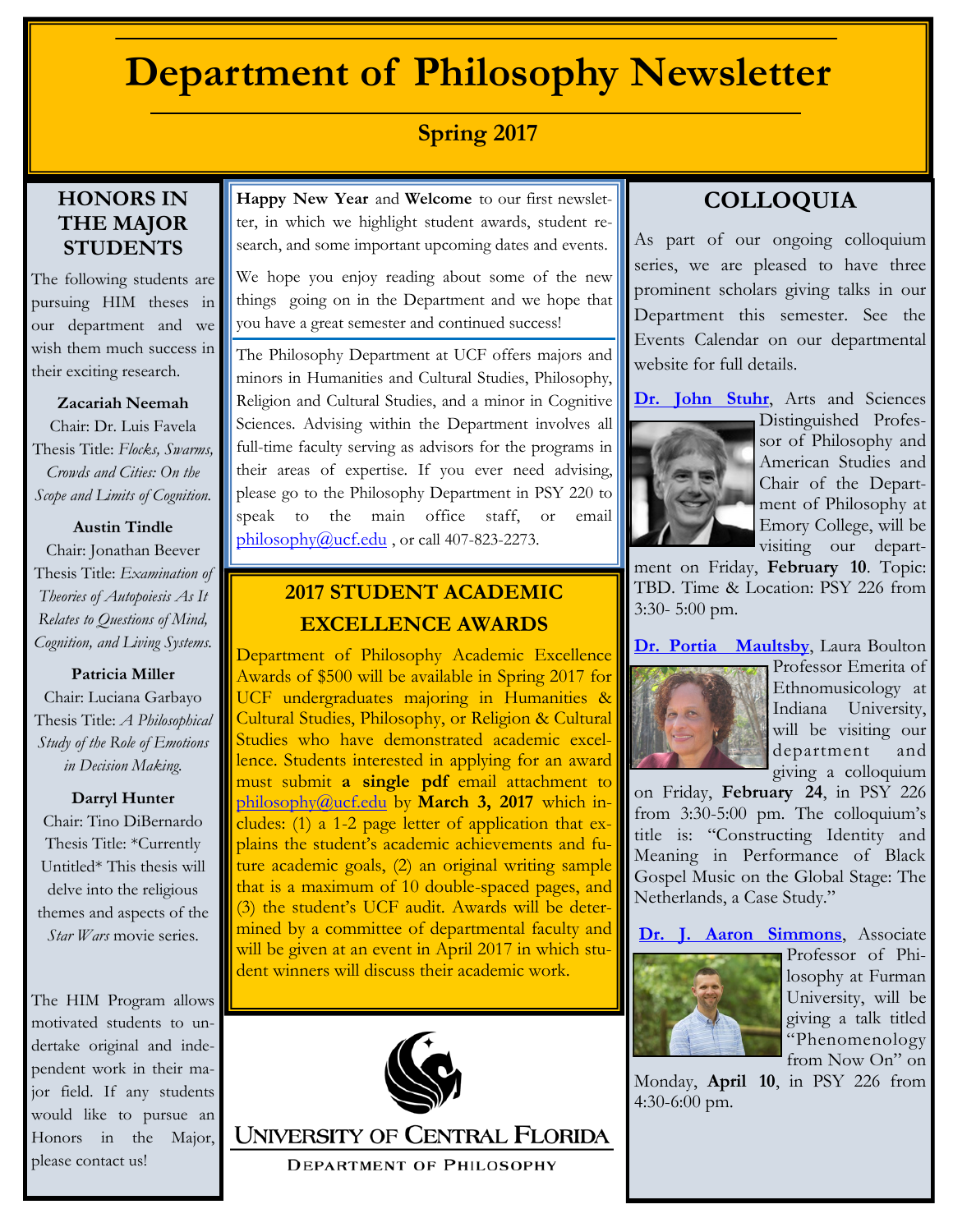# **Department of Philosophy Newsletter**

# **Spring 2017**

### **HONORS IN THE MAJOR STUDENTS**

The following students are pursuing HIM theses in our department and we wish them much success in their exciting research.

#### **Zacariah Neemah**

Chair: Dr. Luis Favela Thesis Title: *Flocks, Swarms, Crowds and Cities: On the Scope and Limits of Cognition.*

#### **Austin Tindle**

Chair: Jonathan Beever Thesis Title: *Examination of Theories of Autopoiesis As It Relates to Questions of Mind, Cognition, and Living Systems.*

#### **Patricia Miller**

Chair: Luciana Garbayo Thesis Title: *A Philosophical Study of the Role of Emotions in Decision Making.*

#### **Darryl Hunter**

Chair: Tino DiBernardo Thesis Title: \*Currently Untitled\* This thesis will delve into the religious themes and aspects of the *Star Wars* movie series.

The HIM Program allows motivated students to undertake original and independent work in their major field. If any students would like to pursue an Honors in the Major, please contact us!

**Happy New Year** and **Welcome** to our first newsletter, in which we highlight student awards, student research, and some important upcoming dates and events.

We hope you enjoy reading about some of the new things going on in the Department and we hope that you have a great semester and continued success!

The Philosophy Department at UCF offers majors and minors in Humanities and Cultural Studies, Philosophy, Religion and Cultural Studies, and a minor in Cognitive Sciences. Advising within the Department involves all full-time faculty serving as advisors for the programs in their areas of expertise. If you ever need advising, please go to the Philosophy Department in PSY 220 to speak to the main office staff, or email  $philosophy@ucf.edu$ , or call 407-823-2273.

## **2017 STUDENT ACADEMIC EXCELLENCE AWARDS**

Department of Philosophy Academic Excellence Awards of \$500 will be available in Spring 2017 for UCF undergraduates majoring in Humanities & Cultural Studies, Philosophy, or Religion & Cultural Studies who have demonstrated academic excellence. Students interested in applying for an award must submit **a single pdf** email attachment to [philosophy@ucf.edu](mailto:philosophy2@ucf.edu) by **March 3, 2017** which includes: (1) a 1-2 page letter of application that explains the student's academic achievements and future academic goals, (2) an original writing sample that is a maximum of 10 double-spaced pages, and (3) the student's UCF audit. Awards will be determined by a committee of departmental faculty and will be given at an event in April 2017 in which student winners will discuss their academic work.



**UNIVERSITY OF CENTRAL FLORIDA DEPARTMENT OF PHILOSOPHY** 

# **COLLOQUIA**

As part of our ongoing colloquium series, we are pleased to have three prominent scholars giving talks in our Department this semester. See the Events Calendar on our departmental website for full details.

[Dr. John Stuhr](http://philosophy.emory.edu/home/people/faculty/stuhr-john.html), Arts and Sciences



Distinguished Professor of Philosophy and American Studies and Chair of the Department of Philosophy at Emory College, will be visiting our depart-

ment on Friday, **February 10**. Topic: TBD. Time & Location: PSY 226 from 3:30- 5:00 pm.

**[Dr. Portia Maultsby](http://www.indiana.edu/~folklore/people/maultsby.shtml)**, Laura Boulton



Professor Emerita of Ethnomusicology at Indiana University, will be visiting our department and giving a colloquium

on Friday, **February 24**, in PSY 226 from 3:30-5:00 pm. The colloquium's title is: "Constructing Identity and Meaning in Performance of Black Gospel Music on the Global Stage: The Netherlands, a Case Study."

**[Dr. J. Aaron Simmons](http://www.furman.edu/academics/philosophy/meet-our-faculty/Pages/J-Aaron-Simmons.aspx)**, Associate



Professor of Philosophy at Furman University, will be giving a talk titled "Phenomenology from Now On" on

Monday, **April 10**, in PSY 226 from 4:30-6:00 pm.